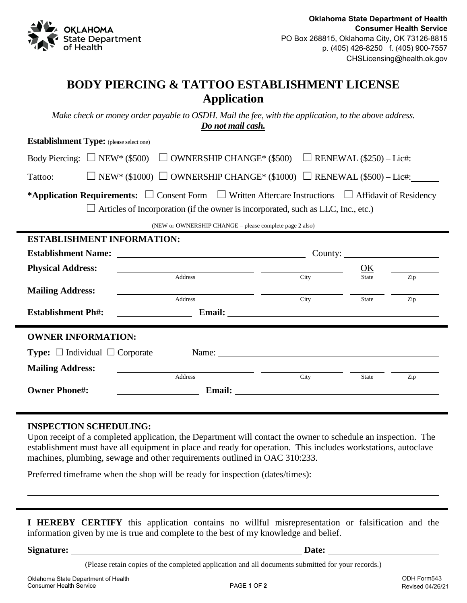

## **BODY PIERCING & TATTOO ESTABLISHMENT LICENSE Application**

*Make check or money order payable to OSDH. Mail the fee, with the application, to the above address. Do not mail cash.*

| <b>Establishment Type:</b> (please select one)                                                                                                                                                          |                                                            |                                     |                              |            |  |
|---------------------------------------------------------------------------------------------------------------------------------------------------------------------------------------------------------|------------------------------------------------------------|-------------------------------------|------------------------------|------------|--|
| Body Piercing: $\Box$ NEW* (\$500) $\Box$ OWNERSHIP CHANGE* (\$500) $\Box$ RENEWAL (\$250) – Lic#:                                                                                                      |                                                            |                                     |                              |            |  |
| $\Box$ NEW* (\$1000) $\Box$ OWNERSHIP CHANGE* (\$1000) $\Box$ RENEWAL (\$500) – Lic#:<br>Tattoo:                                                                                                        |                                                            |                                     |                              |            |  |
| *Application Requirements: $\Box$ Consent Form $\Box$ Written Aftercare Instructions $\Box$ Affidavit of Residency<br>Articles of Incorporation (if the owner is incorporated, such as LLC, Inc., etc.) |                                                            |                                     |                              |            |  |
| (NEW or OWNERSHIP CHANGE - please complete page 2 also)                                                                                                                                                 |                                                            |                                     |                              |            |  |
| <b>ESTABLISHMENT INFORMATION:</b>                                                                                                                                                                       |                                                            |                                     |                              |            |  |
|                                                                                                                                                                                                         |                                                            | County: $\qquad \qquad$             |                              |            |  |
| <b>Physical Address:</b>                                                                                                                                                                                | <u> 1989 - Johann Stoff, amerikansk politiker (* 1908)</u> |                                     | $\overline{\text{OK}}$       |            |  |
| <b>Mailing Address:</b>                                                                                                                                                                                 | <b>Address</b><br><b>Address</b>                           | City<br>City                        | <b>State</b><br><b>State</b> | Zip<br>Zip |  |
| <b>Establishment Ph#:</b>                                                                                                                                                                               |                                                            |                                     |                              |            |  |
| <b>OWNER INFORMATION:</b>                                                                                                                                                                               |                                                            |                                     |                              |            |  |
| <b>Type:</b> $\Box$ Individual $\Box$ Corporate                                                                                                                                                         |                                                            |                                     |                              |            |  |
| <b>Mailing Address:</b>                                                                                                                                                                                 |                                                            |                                     |                              |            |  |
| <b>Owner Phone#:</b>                                                                                                                                                                                    | <b>Address</b>                                             | City<br>Email: <u>International</u> | <b>State</b>                 | Zip        |  |

## **INSPECTION SCHEDULING:**

Upon receipt of a completed application, the Department will contact the owner to schedule an inspection. The establishment must have all equipment in place and ready for operation. This includes workstations, autoclave machines, plumbing, sewage and other requirements outlined in OAC 310:233.

Preferred timeframe when the shop will be ready for inspection (dates/times):

**I HEREBY CERTIFY** this application contains no willful misrepresentation or falsification and the information given by me is true and complete to the best of my knowledge and belief.

**Signature: Date:**

(Please retain copies of the completed application and all documents submitted for your records.)